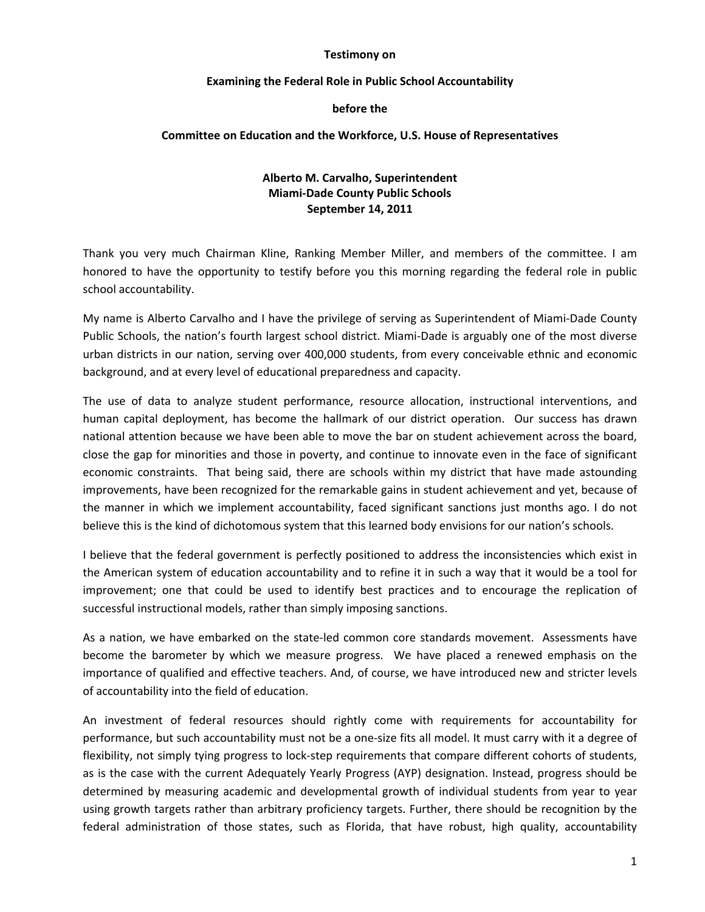#### **Testimony on**

#### **Examining the Federal Role in Public School Accountability**

## **before the**

## **Committee on Education and the Workforce, U.S. House of Representatives**

# **Alberto M. Carvalho, Superintendent Miami‐Dade County Public Schools September 14, 2011**

Thank you very much Chairman Kline, Ranking Member Miller, and members of the committee. I am honored to have the opportunity to testify before you this morning regarding the federal role in public school accountability.

My name is Alberto Carvalho and I have the privilege of serving as Superintendent of Miami‐Dade County Public Schools, the nation's fourth largest school district. Miami‐Dade is arguably one of the most diverse urban districts in our nation, serving over 400,000 students, from every conceivable ethnic and economic background, and at every level of educational preparedness and capacity.

The use of data to analyze student performance, resource allocation, instructional interventions, and human capital deployment, has become the hallmark of our district operation. Our success has drawn national attention because we have been able to move the bar on student achievement across the board, close the gap for minorities and those in poverty, and continue to innovate even in the face of significant economic constraints. That being said, there are schools within my district that have made astounding improvements, have been recognized for the remarkable gains in student achievement and yet, because of the manner in which we implement accountability, faced significant sanctions just months ago. I do not believe this is the kind of dichotomous system that this learned body envisions for our nation's schools.

I believe that the federal government is perfectly positioned to address the inconsistencies which exist in the American system of education accountability and to refine it in such a way that it would be a tool for improvement; one that could be used to identify best practices and to encourage the replication of successful instructional models, rather than simply imposing sanctions.

As a nation, we have embarked on the state-led common core standards movement. Assessments have become the barometer by which we measure progress. We have placed a renewed emphasis on the importance of qualified and effective teachers. And, of course, we have introduced new and stricter levels of accountability into the field of education.

An investment of federal resources should rightly come with requirements for accountability for performance, but such accountability must not be a one‐size fits all model. It must carry with it a degree of flexibility, not simply tying progress to lock-step requirements that compare different cohorts of students, as is the case with the current Adequately Yearly Progress (AYP) designation. Instead, progress should be determined by measuring academic and developmental growth of individual students from year to year using growth targets rather than arbitrary proficiency targets. Further, there should be recognition by the federal administration of those states, such as Florida, that have robust, high quality, accountability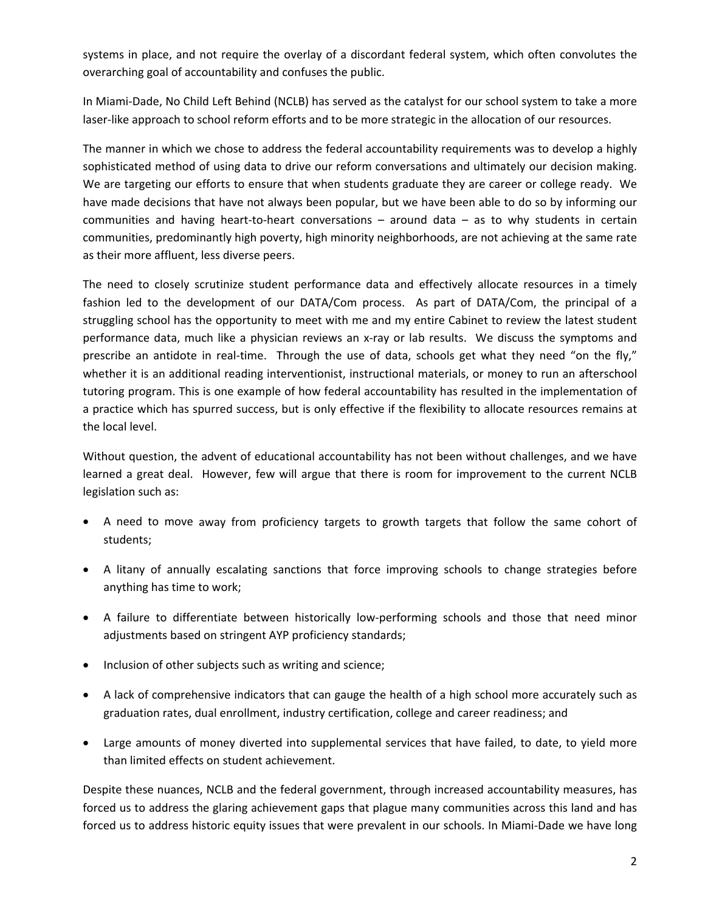systems in place, and not require the overlay of a discordant federal system, which often convolutes the overarching goal of accountability and confuses the public.

In Miami‐Dade, No Child Left Behind (NCLB) has served as the catalyst for our school system to take a more laser-like approach to school reform efforts and to be more strategic in the allocation of our resources.

The manner in which we chose to address the federal accountability requirements was to develop a highly sophisticated method of using data to drive our reform conversations and ultimately our decision making. We are targeting our efforts to ensure that when students graduate they are career or college ready. We have made decisions that have not always been popular, but we have been able to do so by informing our communities and having heart-to-heart conversations  $-$  around data  $-$  as to why students in certain communities, predominantly high poverty, high minority neighborhoods, are not achieving at the same rate as their more affluent, less diverse peers.

The need to closely scrutinize student performance data and effectively allocate resources in a timely fashion led to the development of our DATA/Com process. As part of DATA/Com, the principal of a struggling school has the opportunity to meet with me and my entire Cabinet to review the latest student performance data, much like a physician reviews an x-ray or lab results. We discuss the symptoms and prescribe an antidote in real-time. Through the use of data, schools get what they need "on the fly," whether it is an additional reading interventionist, instructional materials, or money to run an afterschool tutoring program. This is one example of how federal accountability has resulted in the implementation of a practice which has spurred success, but is only effective if the flexibility to allocate resources remains at the local level.

Without question, the advent of educational accountability has not been without challenges, and we have learned a great deal. However, few will argue that there is room for improvement to the current NCLB legislation such as:

- A need to move away from proficiency targets to growth targets that follow the same cohort of students;
- A litany of annually escalating sanctions that force improving schools to change strategies before anything has time to work;
- A failure to differentiate between historically low-performing schools and those that need minor adjustments based on stringent AYP proficiency standards;
- Inclusion of other subjects such as writing and science;
- A lack of comprehensive indicators that can gauge the health of a high school more accurately such as graduation rates, dual enrollment, industry certification, college and career readiness; and
- Large amounts of money diverted into supplemental services that have failed, to date, to yield more than limited effects on student achievement.

Despite these nuances, NCLB and the federal government, through increased accountability measures, has forced us to address the glaring achievement gaps that plague many communities across this land and has forced us to address historic equity issues that were prevalent in our schools. In Miami‐Dade we have long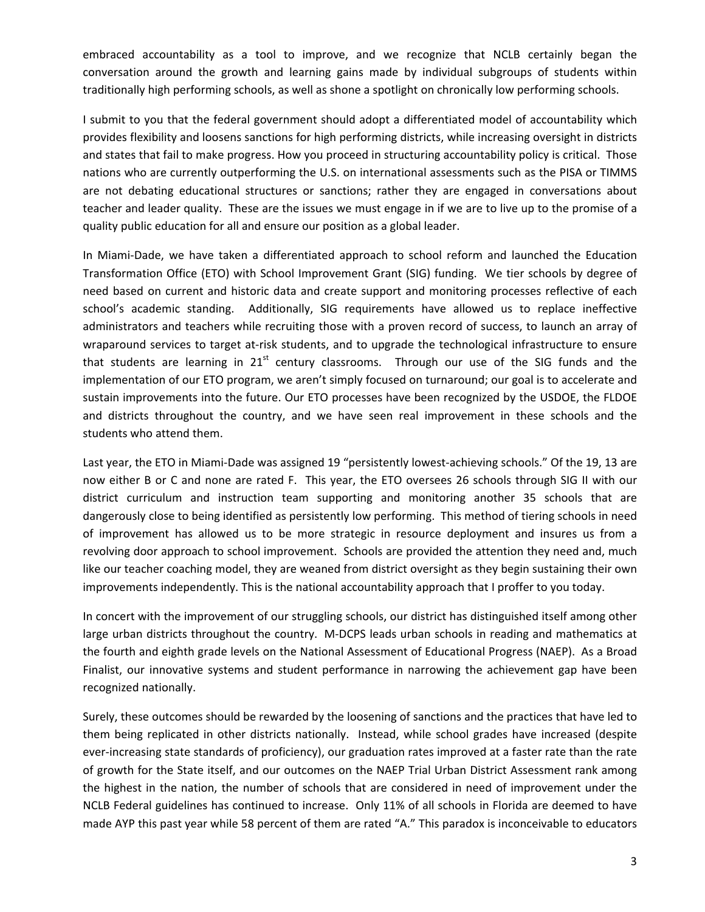embraced accountability as a tool to improve, and we recognize that NCLB certainly began the conversation around the growth and learning gains made by individual subgroups of students within traditionally high performing schools, as well as shone a spotlight on chronically low performing schools.

I submit to you that the federal government should adopt a differentiated model of accountability which provides flexibility and loosens sanctions for high performing districts, while increasing oversight in districts and states that fail to make progress. How you proceed in structuring accountability policy is critical. Those nations who are currently outperforming the U.S. on international assessments such as the PISA or TIMMS are not debating educational structures or sanctions; rather they are engaged in conversations about teacher and leader quality. These are the issues we must engage in if we are to live up to the promise of a quality public education for all and ensure our position as a global leader.

In Miami‐Dade, we have taken a differentiated approach to school reform and launched the Education Transformation Office (ETO) with School Improvement Grant (SIG) funding. We tier schools by degree of need based on current and historic data and create support and monitoring processes reflective of each school's academic standing. Additionally, SIG requirements have allowed us to replace ineffective administrators and teachers while recruiting those with a proven record of success, to launch an array of wraparound services to target at‐risk students, and to upgrade the technological infrastructure to ensure that students are learning in  $21<sup>st</sup>$  century classrooms. Through our use of the SIG funds and the implementation of our ETO program, we aren't simply focused on turnaround; our goal is to accelerate and sustain improvements into the future. Our ETO processes have been recognized by the USDOE, the FLDOE and districts throughout the country, and we have seen real improvement in these schools and the students who attend them.

Last year, the ETO in Miami-Dade was assigned 19 "persistently lowest-achieving schools." Of the 19, 13 are now either B or C and none are rated F. This year, the ETO oversees 26 schools through SIG II with our district curriculum and instruction team supporting and monitoring another 35 schools that are dangerously close to being identified as persistently low performing. This method of tiering schools in need of improvement has allowed us to be more strategic in resource deployment and insures us from a revolving door approach to school improvement. Schools are provided the attention they need and, much like our teacher coaching model, they are weaned from district oversight as they begin sustaining their own improvements independently. This is the national accountability approach that I proffer to you today.

In concert with the improvement of our struggling schools, our district has distinguished itself among other large urban districts throughout the country. M-DCPS leads urban schools in reading and mathematics at the fourth and eighth grade levels on the National Assessment of Educational Progress (NAEP). As a Broad Finalist, our innovative systems and student performance in narrowing the achievement gap have been recognized nationally.

Surely, these outcomes should be rewarded by the loosening of sanctions and the practices that have led to them being replicated in other districts nationally. Instead, while school grades have increased (despite ever-increasing state standards of proficiency), our graduation rates improved at a faster rate than the rate of growth for the State itself, and our outcomes on the NAEP Trial Urban District Assessment rank among the highest in the nation, the number of schools that are considered in need of improvement under the NCLB Federal guidelines has continued to increase. Only 11% of all schools in Florida are deemed to have made AYP this past year while 58 percent of them are rated "A." This paradox is inconceivable to educators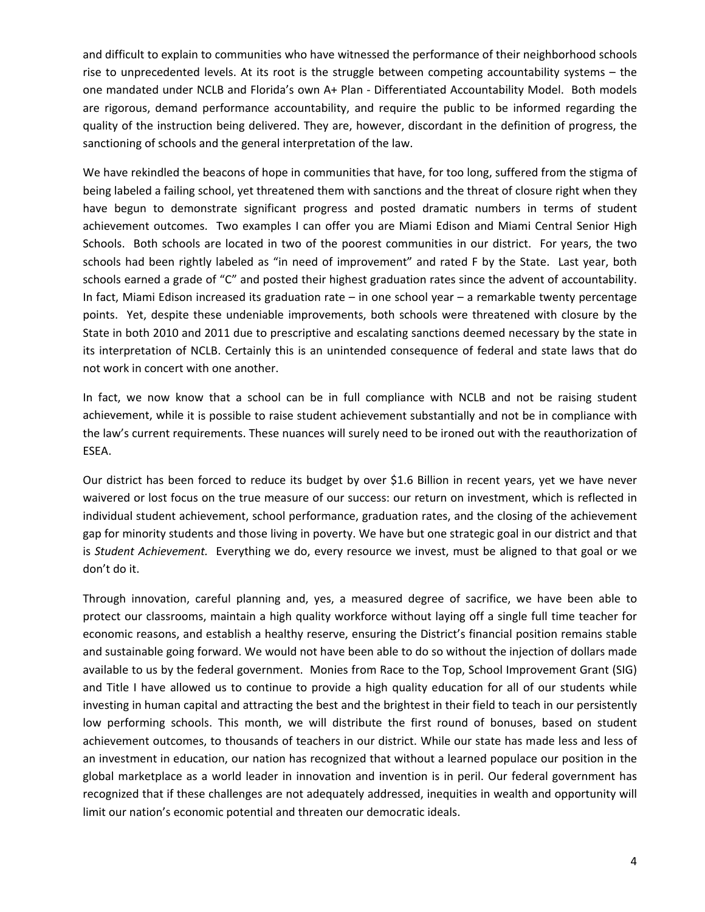and difficult to explain to communities who have witnessed the performance of their neighborhood schools rise to unprecedented levels. At its root is the struggle between competing accountability systems – the one mandated under NCLB and Florida's own A+ Plan ‐ Differentiated Accountability Model. Both models are rigorous, demand performance accountability, and require the public to be informed regarding the quality of the instruction being delivered. They are, however, discordant in the definition of progress, the sanctioning of schools and the general interpretation of the law.

We have rekindled the beacons of hope in communities that have, for too long, suffered from the stigma of being labeled a failing school, yet threatened them with sanctions and the threat of closure right when they have begun to demonstrate significant progress and posted dramatic numbers in terms of student achievement outcomes. Two examples I can offer you are Miami Edison and Miami Central Senior High Schools. Both schools are located in two of the poorest communities in our district. For years, the two schools had been rightly labeled as "in need of improvement" and rated F by the State. Last year, both schools earned a grade of "C" and posted their highest graduation rates since the advent of accountability. In fact, Miami Edison increased its graduation rate – in one school year – a remarkable twenty percentage points. Yet, despite these undeniable improvements, both schools were threatened with closure by the State in both 2010 and 2011 due to prescriptive and escalating sanctions deemed necessary by the state in its interpretation of NCLB. Certainly this is an unintended consequence of federal and state laws that do not work in concert with one another.

In fact, we now know that a school can be in full compliance with NCLB and not be raising student achievement, while it is possible to raise student achievement substantially and not be in compliance with the law's current requirements. These nuances will surely need to be ironed out with the reauthorization of ESEA.

Our district has been forced to reduce its budget by over \$1.6 Billion in recent years, yet we have never waivered or lost focus on the true measure of our success: our return on investment, which is reflected in individual student achievement, school performance, graduation rates, and the closing of the achievement gap for minority students and those living in poverty. We have but one strategic goal in our district and that is *Student Achievement.* Everything we do, every resource we invest, must be aligned to that goal or we don't do it.

Through innovation, careful planning and, yes, a measured degree of sacrifice, we have been able to protect our classrooms, maintain a high quality workforce without laying off a single full time teacher for economic reasons, and establish a healthy reserve, ensuring the District's financial position remains stable and sustainable going forward. We would not have been able to do so without the injection of dollars made available to us by the federal government. Monies from Race to the Top, School Improvement Grant (SIG) and Title I have allowed us to continue to provide a high quality education for all of our students while investing in human capital and attracting the best and the brightest in their field to teach in our persistently low performing schools. This month, we will distribute the first round of bonuses, based on student achievement outcomes, to thousands of teachers in our district. While our state has made less and less of an investment in education, our nation has recognized that without a learned populace our position in the global marketplace as a world leader in innovation and invention is in peril. Our federal government has recognized that if these challenges are not adequately addressed, inequities in wealth and opportunity will limit our nation's economic potential and threaten our democratic ideals.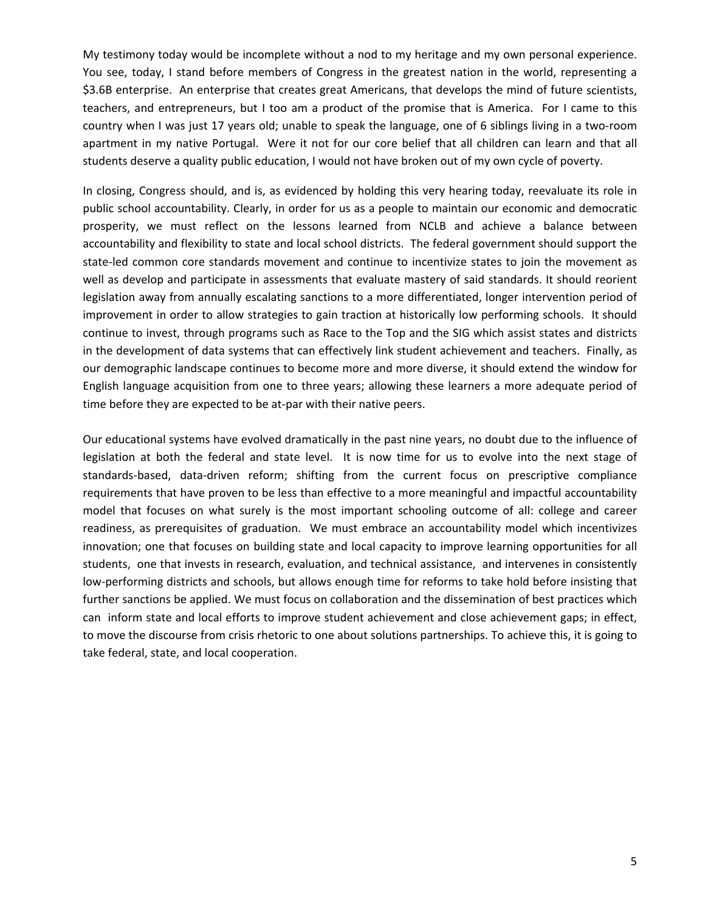My testimony today would be incomplete without a nod to my heritage and my own personal experience. You see, today, I stand before members of Congress in the greatest nation in the world, representing a \$3.6B enterprise. An enterprise that creates great Americans, that develops the mind of future scientists, teachers, and entrepreneurs, but I too am a product of the promise that is America. For I came to this country when I was just 17 years old; unable to speak the language, one of 6 siblings living in a two-room apartment in my native Portugal. Were it not for our core belief that all children can learn and that all students deserve a quality public education, I would not have broken out of my own cycle of poverty.

In closing, Congress should, and is, as evidenced by holding this very hearing today, reevaluate its role in public school accountability. Clearly, in order for us as a people to maintain our economic and democratic prosperity, we must reflect on the lessons learned from NCLB and achieve a balance between accountability and flexibility to state and local school districts. The federal government should support the state-led common core standards movement and continue to incentivize states to join the movement as well as develop and participate in assessments that evaluate mastery of said standards. It should reorient legislation away from annually escalating sanctions to a more differentiated, longer intervention period of improvement in order to allow strategies to gain traction at historically low performing schools. It should continue to invest, through programs such as Race to the Top and the SIG which assist states and districts in the development of data systems that can effectively link student achievement and teachers. Finally, as our demographic landscape continues to become more and more diverse, it should extend the window for English language acquisition from one to three years; allowing these learners a more adequate period of time before they are expected to be at-par with their native peers.

Our educational systems have evolved dramatically in the past nine years, no doubt due to the influence of legislation at both the federal and state level. It is now time for us to evolve into the next stage of standards-based, data-driven reform; shifting from the current focus on prescriptive compliance requirements that have proven to be less than effective to a more meaningful and impactful accountability model that focuses on what surely is the most important schooling outcome of all: college and career readiness, as prerequisites of graduation. We must embrace an accountability model which incentivizes innovation; one that focuses on building state and local capacity to improve learning opportunities for all students, one that invests in research, evaluation, and technical assistance, and intervenes in consistently low‐performing districts and schools, but allows enough time for reforms to take hold before insisting that further sanctions be applied. We must focus on collaboration and the dissemination of best practices which can inform state and local efforts to improve student achievement and close achievement gaps; in effect, to move the discourse from crisis rhetoric to one about solutions partnerships. To achieve this, it is going to take federal, state, and local cooperation.